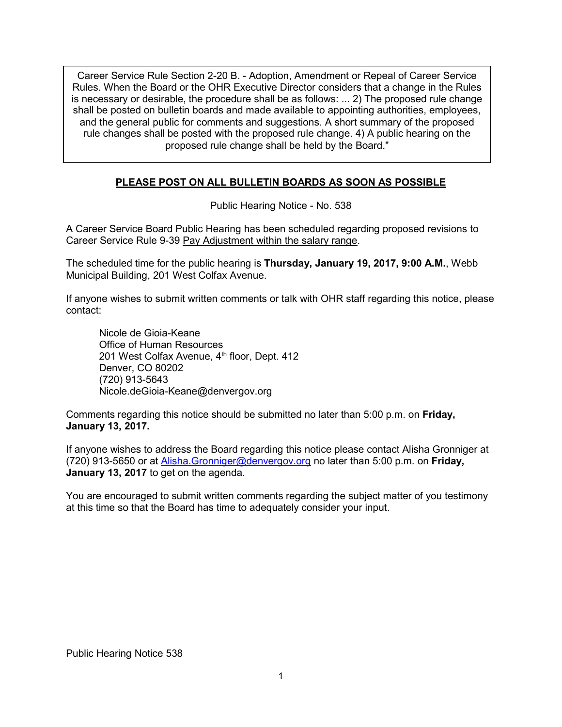Career Service Rule Section 2-20 B. - Adoption, Amendment or Repeal of Career Service Rules. When the Board or the OHR Executive Director considers that a change in the Rules is necessary or desirable, the procedure shall be as follows: ... 2) The proposed rule change shall be posted on bulletin boards and made available to appointing authorities, employees, and the general public for comments and suggestions. A short summary of the proposed rule changes shall be posted with the proposed rule change. 4) A public hearing on the proposed rule change shall be held by the Board."

# **PLEASE POST ON ALL BULLETIN BOARDS AS SOON AS POSSIBLE**

Public Hearing Notice - No. 538

A Career Service Board Public Hearing has been scheduled regarding proposed revisions to Career Service Rule 9-39 Pay Adjustment within the salary range.

The scheduled time for the public hearing is **Thursday, January 19, 2017, 9:00 A.M.**, Webb Municipal Building, 201 West Colfax Avenue.

If anyone wishes to submit written comments or talk with OHR staff regarding this notice, please contact:

Nicole de Gioia-Keane Office of Human Resources 201 West Colfax Avenue, 4<sup>th</sup> floor, Dept. 412 Denver, CO 80202 (720) 913-5643 Nicole.deGioia-Keane@denvergov.org

Comments regarding this notice should be submitted no later than 5:00 p.m. on **Friday, January 13, 2017.**

If anyone wishes to address the Board regarding this notice please contact Alisha Gronniger at (720) 913-5650 or at [Alisha.Gronniger@denvergov.org](mailto:Alisha.Gronniger@denvergov.org) no later than 5:00 p.m. on **Friday, January 13, 2017** to get on the agenda.

You are encouraged to submit written comments regarding the subject matter of you testimony at this time so that the Board has time to adequately consider your input.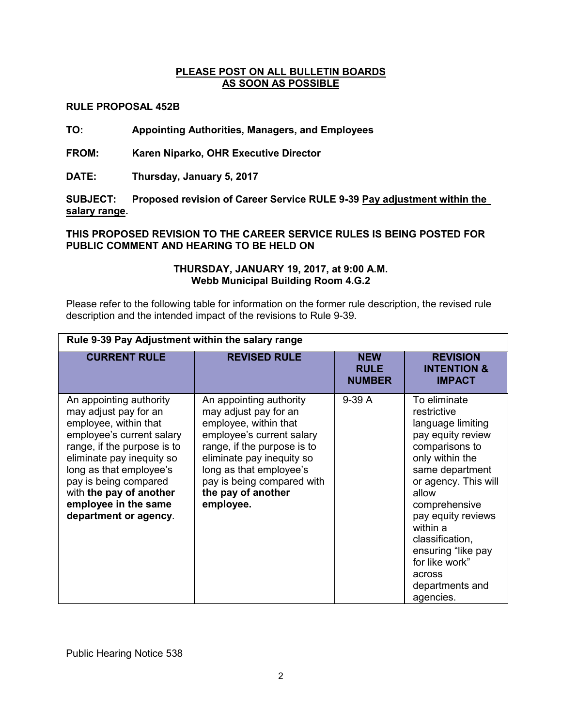# **PLEASE POST ON ALL BULLETIN BOARDS AS SOON AS POSSIBLE**

# **RULE PROPOSAL 452B**

**TO: Appointing Authorities, Managers, and Employees** 

**FROM: Karen Niparko, OHR Executive Director** 

**DATE: Thursday, January 5, 2017**

**SUBJECT: Proposed revision of Career Service RULE 9-39 Pay adjustment within the salary range.** 

**THIS PROPOSED REVISION TO THE CAREER SERVICE RULES IS BEING POSTED FOR PUBLIC COMMENT AND HEARING TO BE HELD ON** 

### **THURSDAY, JANUARY 19, 2017, at 9:00 A.M. Webb Municipal Building Room 4.G.2**

Please refer to the following table for information on the former rule description, the revised rule description and the intended impact of the revisions to Rule 9-39.

| Rule 9-39 Pay Adjustment within the salary range                                                                                                                                                                                                                                                   |                                                                                                                                                                                                                                                                |                                            |                                                                                                                                                                                                                                                                                                                        |  |  |  |
|----------------------------------------------------------------------------------------------------------------------------------------------------------------------------------------------------------------------------------------------------------------------------------------------------|----------------------------------------------------------------------------------------------------------------------------------------------------------------------------------------------------------------------------------------------------------------|--------------------------------------------|------------------------------------------------------------------------------------------------------------------------------------------------------------------------------------------------------------------------------------------------------------------------------------------------------------------------|--|--|--|
| <b>CURRENT RULE</b>                                                                                                                                                                                                                                                                                | <b>REVISED RULE</b>                                                                                                                                                                                                                                            | <b>NEW</b><br><b>RULE</b><br><b>NUMBER</b> | <b>REVISION</b><br><b>INTENTION &amp;</b><br><b>IMPACT</b>                                                                                                                                                                                                                                                             |  |  |  |
| An appointing authority<br>may adjust pay for an<br>employee, within that<br>employee's current salary<br>range, if the purpose is to<br>eliminate pay inequity so<br>long as that employee's<br>pay is being compared<br>with the pay of another<br>employee in the same<br>department or agency. | An appointing authority<br>may adjust pay for an<br>employee, within that<br>employee's current salary<br>range, if the purpose is to<br>eliminate pay inequity so<br>long as that employee's<br>pay is being compared with<br>the pay of another<br>employee. | $9-39A$                                    | To eliminate<br>restrictive<br>language limiting<br>pay equity review<br>comparisons to<br>only within the<br>same department<br>or agency. This will<br>allow<br>comprehensive<br>pay equity reviews<br>within a<br>classification,<br>ensuring "like pay<br>for like work"<br>across<br>departments and<br>agencies. |  |  |  |

Public Hearing Notice 538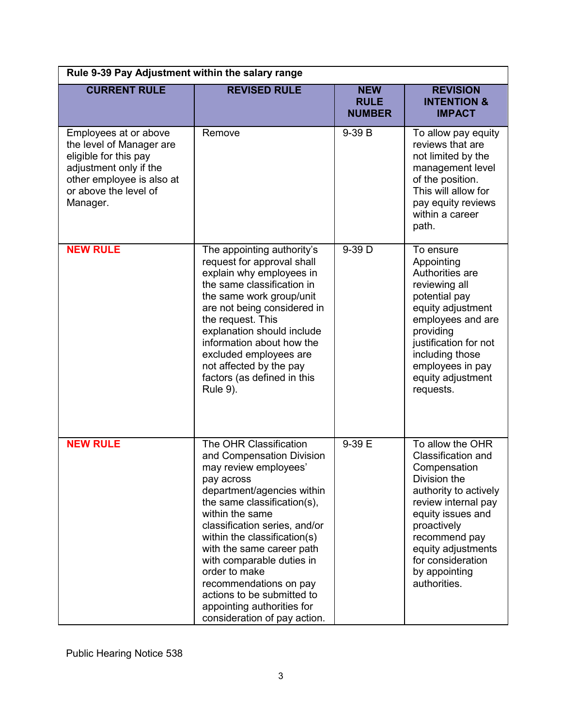| Rule 9-39 Pay Adjustment within the salary range                                                                                                                       |                                                                                                                                                                                                                                                                                                                                                                                                                                              |                                            |                                                                                                                                                                                                                                                         |  |  |  |
|------------------------------------------------------------------------------------------------------------------------------------------------------------------------|----------------------------------------------------------------------------------------------------------------------------------------------------------------------------------------------------------------------------------------------------------------------------------------------------------------------------------------------------------------------------------------------------------------------------------------------|--------------------------------------------|---------------------------------------------------------------------------------------------------------------------------------------------------------------------------------------------------------------------------------------------------------|--|--|--|
| <b>CURRENT RULE</b>                                                                                                                                                    | <b>REVISED RULE</b>                                                                                                                                                                                                                                                                                                                                                                                                                          | <b>NEW</b><br><b>RULE</b><br><b>NUMBER</b> | <b>REVISION</b><br><b>INTENTION &amp;</b><br><b>IMPACT</b>                                                                                                                                                                                              |  |  |  |
| Employees at or above<br>the level of Manager are<br>eligible for this pay<br>adjustment only if the<br>other employee is also at<br>or above the level of<br>Manager. | Remove                                                                                                                                                                                                                                                                                                                                                                                                                                       | 9-39 B                                     | To allow pay equity<br>reviews that are<br>not limited by the<br>management level<br>of the position.<br>This will allow for<br>pay equity reviews<br>within a career<br>path.                                                                          |  |  |  |
| <b>NEW RULE</b>                                                                                                                                                        | The appointing authority's<br>request for approval shall<br>explain why employees in<br>the same classification in<br>the same work group/unit<br>are not being considered in<br>the request. This<br>explanation should include<br>information about how the<br>excluded employees are<br>not affected by the pay<br>factors (as defined in this<br><b>Rule 9).</b>                                                                         | 9-39 D                                     | To ensure<br>Appointing<br>Authorities are<br>reviewing all<br>potential pay<br>equity adjustment<br>employees and are<br>providing<br>justification for not<br>including those<br>employees in pay<br>equity adjustment<br>requests.                   |  |  |  |
| <b>NEW RULE</b>                                                                                                                                                        | The OHR Classification<br>and Compensation Division<br>may review employees'<br>pay across<br>department/agencies within<br>the same classification(s),<br>within the same<br>classification series, and/or<br>within the classification(s)<br>with the same career path<br>with comparable duties in<br>order to make<br>recommendations on pay<br>actions to be submitted to<br>appointing authorities for<br>consideration of pay action. | 9-39 E                                     | To allow the OHR<br>Classification and<br>Compensation<br>Division the<br>authority to actively<br>review internal pay<br>equity issues and<br>proactively<br>recommend pay<br>equity adjustments<br>for consideration<br>by appointing<br>authorities. |  |  |  |

Public Hearing Notice 538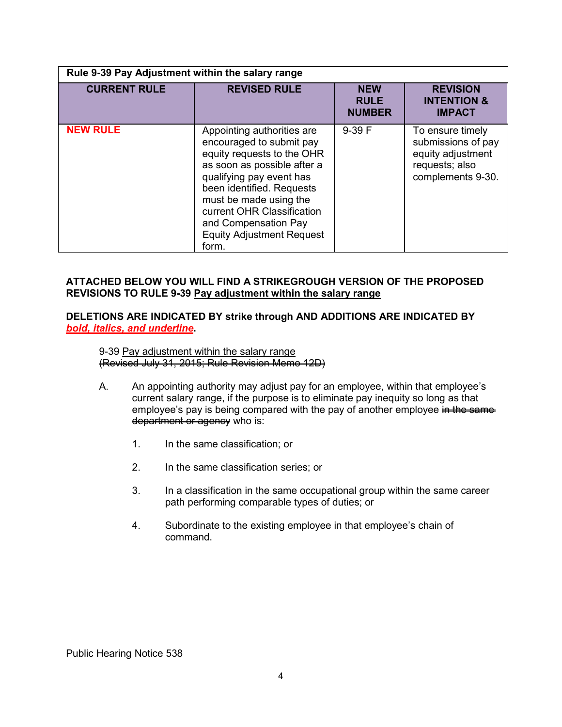| <b>CURRENT RULE</b> | <b>REVISED RULE</b>                                                                                                                                                                                                                                                                                       | <b>NEW</b><br><b>RULE</b><br><b>NUMBER</b> | <b>REVISION</b><br><b>INTENTION &amp;</b><br><b>IMPACT</b>                                         |
|---------------------|-----------------------------------------------------------------------------------------------------------------------------------------------------------------------------------------------------------------------------------------------------------------------------------------------------------|--------------------------------------------|----------------------------------------------------------------------------------------------------|
| <b>NEW RULE</b>     | Appointing authorities are<br>encouraged to submit pay<br>equity requests to the OHR<br>as soon as possible after a<br>qualifying pay event has<br>been identified. Requests<br>must be made using the<br>current OHR Classification<br>and Compensation Pay<br><b>Equity Adjustment Request</b><br>form. | $9-39 F$                                   | To ensure timely<br>submissions of pay<br>equity adjustment<br>requests; also<br>complements 9-30. |

### **ATTACHED BELOW YOU WILL FIND A STRIKEGROUGH VERSION OF THE PROPOSED REVISIONS TO RULE 9-39 Pay adjustment within the salary range**

#### **DELETIONS ARE INDICATED BY strike through AND ADDITIONS ARE INDICATED BY**  *bold, italics, and underline***.**

9-39 Pay adjustment within the salary range (Revised July 31, 2015; Rule Revision Memo 12D)

- A. An appointing authority may adjust pay for an employee, within that employee's current salary range, if the purpose is to eliminate pay inequity so long as that employee's pay is being compared with the pay of another employee in the same department or agency who is:
	- 1. In the same classification; or
	- 2. In the same classification series; or
	- 3. In a classification in the same occupational group within the same career path performing comparable types of duties; or
	- 4. Subordinate to the existing employee in that employee's chain of command.